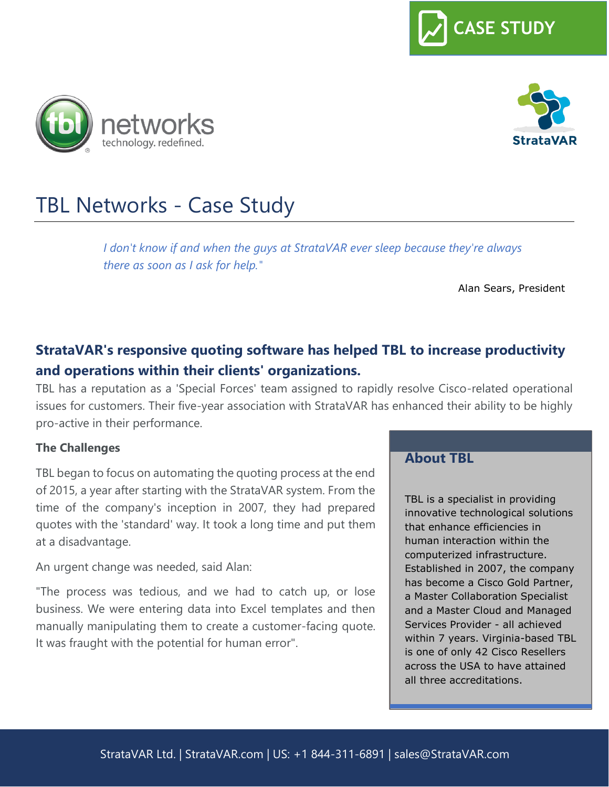





# TBL Networks - Case Study

*I don't know if and when the guys at StrataVAR ever sleep because they're always there as soon as I ask for help."* 

Alan Sears, President

# **StrataVAR's responsive quoting software has helped TBL to increase productivity and operations within their clients' organizations.**

TBL has a reputation as a 'Special Forces' team assigned to rapidly resolve Cisco-related operational issues for customers. Their five-year association with StrataVAR has enhanced their ability to be highly pro-active in their performance.

#### **The Challenges**

TBL began to focus on automating the quoting process at the end of 2015, a year after starting with the StrataVAR system. From the time of the company's inception in 2007, they had prepared quotes with the 'standard' way. It took a long time and put them at a disadvantage.

An urgent change was needed, said Alan:

"The process was tedious, and we had to catch up, or lose business. We were entering data into Excel templates and then manually manipulating them to create a customer-facing quote. It was fraught with the potential for human error".

#### **About TBL**

TBL is a specialist in providing innovative technological solutions that enhance efficiencies in human interaction within the computerized infrastructure. Established in 2007, the company has become a Cisco Gold Partner, a Master Collaboration Specialist and a Master Cloud and Managed Services Provider - all achieved within 7 years. Virginia-based TBL is one of only 42 Cisco Resellers across the USA to have attained all three accreditations.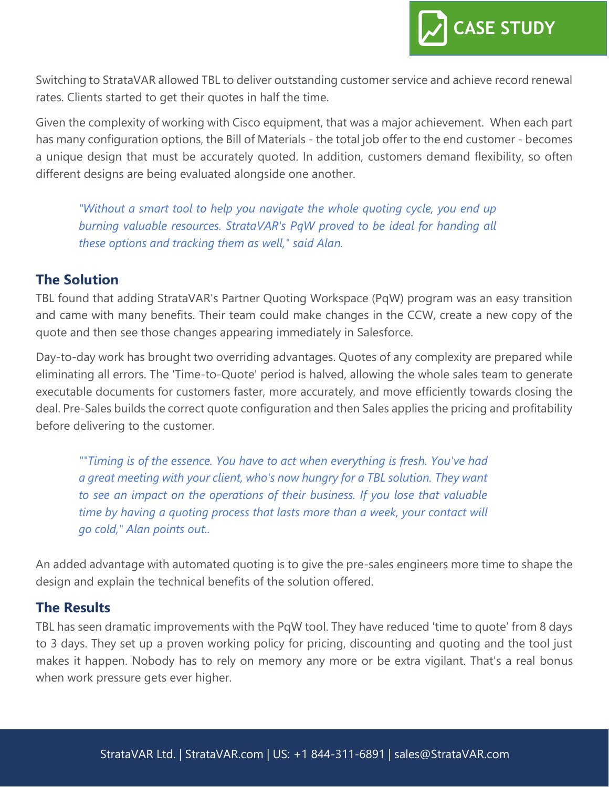

Switching to StrataVAR allowed TBL to deliver outstanding customer service and achieve record renewal rates. Clients started to get their quotes in half the time.

Given the complexity of working with Cisco equipment, that was a major achievement. When each part has many configuration options, the Bill of Materials - the total job offer to the end customer - becomes a unique design that must be accurately quoted. In addition, customers demand flexibility, so often different designs are being evaluated alongside one another.

*"Without a smart tool to help you navigate the whole quoting cycle, you end up burning valuable resources. StrataVAR's PqW proved to be ideal for handing all these options and tracking them as well," said Alan.* 

# **The Solution**

TBL found that adding StrataVAR's Partner Quoting Workspace (PqW) program was an easy transition and came with many benefits. Their team could make changes in the CCW, create a new copy of the quote and then see those changes appearing immediately in Salesforce.

Day-to-day work has brought two overriding advantages. Quotes of any complexity are prepared while eliminating all errors. The 'Time-to-Quote' period is halved, allowing the whole sales team to generate executable documents for customers faster, more accurately, and move efficiently towards closing the deal. Pre-Sales builds the correct quote configuration and then Sales applies the pricing and profitability before delivering to the customer.

*""Timing is of the essence. You have to act when everything is fresh. You've had a great meeting with your client, who's now hungry for a TBL solution. They want to see an impact on the operations of their business. If you lose that valuable time by having a quoting process that lasts more than a week, your contact will go cold," Alan points out..*

An added advantage with automated quoting is to give the pre-sales engineers more time to shape the design and explain the technical benefits of the solution offered.

# **The Results**

TBL has seen dramatic improvements with the PqW tool. They have reduced 'time to quote' from 8 days to 3 days. They set up a proven working policy for pricing, discounting and quoting and the tool just makes it happen. Nobody has to rely on memory any more or be extra vigilant. That's a real bonus when work pressure gets ever higher.